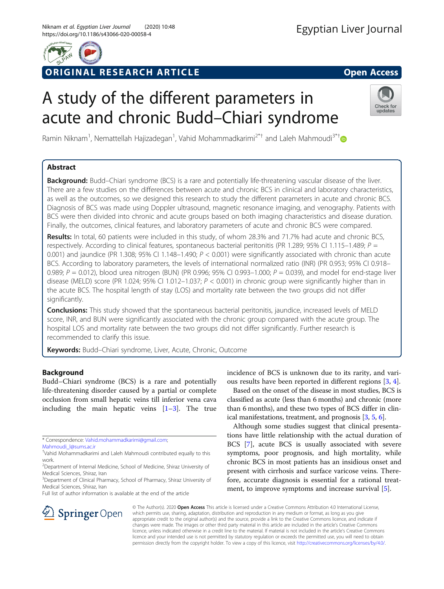

# ORIGINAL RESEARCH ARTICLE **Solution Contract Contract Contract Contract Contract Contract Contract Contract Contract Contract Contract Contract Contract Contract Contract Contract Contract Contract Contract Contract Contra**

# A study of the different parameters in acute and chronic Budd–Chiari syndrome



Ramin Niknam<sup>1</sup>, Nemattellah Hajizadegan<sup>1</sup>, Vahid Mohammadkarimi<sup>2\*[†](http://orcid.org/0000-0003-3866-8519)</sup> and Laleh Mahmoudi<sup>3\*†</sup>

# Abstract

**Background:** Budd–Chiari syndrome (BCS) is a rare and potentially life-threatening vascular disease of the liver. There are a few studies on the differences between acute and chronic BCS in clinical and laboratory characteristics, as well as the outcomes, so we designed this research to study the different parameters in acute and chronic BCS. Diagnosis of BCS was made using Doppler ultrasound, magnetic resonance imaging, and venography. Patients with BCS were then divided into chronic and acute groups based on both imaging characteristics and disease duration. Finally, the outcomes, clinical features, and laboratory parameters of acute and chronic BCS were compared.

Results: In total, 60 patients were included in this study, of whom 28.3% and 71.7% had acute and chronic BCS, respectively. According to clinical features, spontaneous bacterial peritonitis (PR 1.289; 95% CI 1.115–1.489;  $P =$ 0.001) and jaundice (PR 1.308; 95% CI 1.148–1.490;  $P < 0.001$ ) were significantly associated with chronic than acute BCS. According to laboratory parameters, the levels of international normalized ratio (INR) (PR 0.953; 95% CI 0.918– 0.989;  $P = 0.012$ ), blood urea nitrogen (BUN) (PR 0.996; 95% CI 0.993-1.000;  $P = 0.039$ ), and model for end-stage liver disease (MELD) score (PR 1.024; 95% CI 1.012–1.037;  $P < 0.001$ ) in chronic group were significantly higher than in the acute BCS. The hospital length of stay (LOS) and mortality rate between the two groups did not differ significantly.

**Conclusions:** This study showed that the spontaneous bacterial peritonitis, jaundice, increased levels of MELD score, INR, and BUN were significantly associated with the chronic group compared with the acute group. The hospital LOS and mortality rate between the two groups did not differ significantly. Further research is recommended to clarify this issue.

Keywords: Budd-Chiari syndrome, Liver, Acute, Chronic, Outcome

# Background

Budd–Chiari syndrome (BCS) is a rare and potentially life-threatening disorder caused by a partial or complete occlusion from small hepatic veins till inferior vena cava including the main hepatic veins  $[1-3]$  $[1-3]$  $[1-3]$  $[1-3]$ . The true

\* Correspondence: [Vahid.mohammadkarimi@gmail.com](mailto:Vahid.mohammadkarimi@gmail.com);

[Mahmoudi\\_l@sums.ac.ir](mailto:Mahmoudi_l@sums.ac.ir)

† Vahid Mohammadkarimi and Laleh Mahmoudi contributed equally to this work.

<sup>3</sup>Department of Clinical Pharmacy, School of Pharmacy, Shiraz University of Medical Sciences, Shiraz, Iran

Full list of author information is available at the end of the article

incidence of BCS is unknown due to its rarity, and various results have been reported in different regions [\[3](#page-7-0), [4](#page-7-0)].

Based on the onset of the disease in most studies, BCS is classified as acute (less than 6 months) and chronic (more than 6 months), and these two types of BCS differ in clinical manifestations, treatment, and prognosis [\[3,](#page-7-0) [5](#page-7-0), [6](#page-7-0)].

Although some studies suggest that clinical presentations have little relationship with the actual duration of BCS [[7\]](#page-7-0), acute BCS is usually associated with severe symptoms, poor prognosis, and high mortality, while chronic BCS in most patients has an insidious onset and present with cirrhosis and surface varicose veins. Therefore, accurate diagnosis is essential for a rational treatment, to improve symptoms and increase survival [[5\]](#page-7-0).



© The Author(s). 2020 Open Access This article is licensed under a Creative Commons Attribution 4.0 International License, which permits use, sharing, adaptation, distribution and reproduction in any medium or format, as long as you give appropriate credit to the original author(s) and the source, provide a link to the Creative Commons licence, and indicate if changes were made. The images or other third party material in this article are included in the article's Creative Commons licence, unless indicated otherwise in a credit line to the material. If material is not included in the article's Creative Commons licence and your intended use is not permitted by statutory regulation or exceeds the permitted use, you will need to obtain permission directly from the copyright holder. To view a copy of this licence, visit <http://creativecommons.org/licenses/by/4.0/>.

<sup>&</sup>lt;sup>2</sup>Department of Internal Medicine, School of Medicine, Shiraz University of Medical Sciences, Shiraz, Iran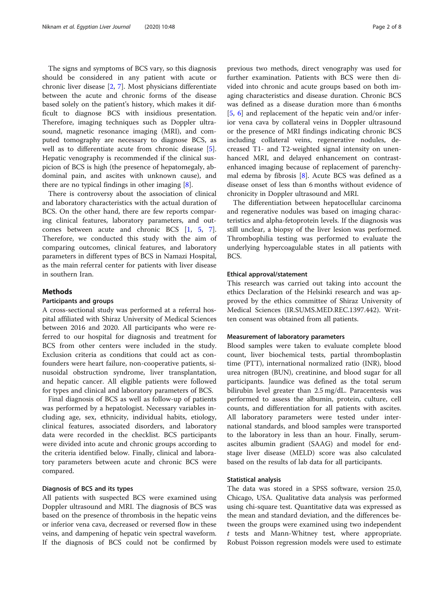The signs and symptoms of BCS vary, so this diagnosis should be considered in any patient with acute or chronic liver disease [\[2](#page-7-0), [7\]](#page-7-0). Most physicians differentiate between the acute and chronic forms of the disease based solely on the patient's history, which makes it difficult to diagnose BCS with insidious presentation. Therefore, imaging techniques such as Doppler ultrasound, magnetic resonance imaging (MRI), and computed tomography are necessary to diagnose BCS, as well as to differentiate acute from chronic disease [\[5](#page-7-0)]. Hepatic venography is recommended if the clinical suspicion of BCS is high (the presence of hepatomegaly, abdominal pain, and ascites with unknown cause), and there are no typical findings in other imaging  $[8]$  $[8]$ .

There is controversy about the association of clinical and laboratory characteristics with the actual duration of BCS. On the other hand, there are few reports comparing clinical features, laboratory parameters, and outcomes between acute and chronic BCS [[1,](#page-7-0) [5](#page-7-0), [7](#page-7-0)]. Therefore, we conducted this study with the aim of comparing outcomes, clinical features, and laboratory parameters in different types of BCS in Namazi Hospital, as the main referral center for patients with liver disease in southern Iran.

#### Methods

#### Participants and groups

A cross-sectional study was performed at a referral hospital affiliated with Shiraz University of Medical Sciences between 2016 and 2020. All participants who were referred to our hospital for diagnosis and treatment for BCS from other centers were included in the study. Exclusion criteria as conditions that could act as confounders were heart failure, non-cooperative patients, sinusoidal obstruction syndrome, liver transplantation, and hepatic cancer. All eligible patients were followed for types and clinical and laboratory parameters of BCS.

Final diagnosis of BCS as well as follow-up of patients was performed by a hepatologist. Necessary variables including age, sex, ethnicity, individual habits, etiology, clinical features, associated disorders, and laboratory data were recorded in the checklist. BCS participants were divided into acute and chronic groups according to the criteria identified below. Finally, clinical and laboratory parameters between acute and chronic BCS were compared.

#### Diagnosis of BCS and its types

All patients with suspected BCS were examined using Doppler ultrasound and MRI. The diagnosis of BCS was based on the presence of thrombosis in the hepatic veins or inferior vena cava, decreased or reversed flow in these veins, and dampening of hepatic vein spectral waveform. If the diagnosis of BCS could not be confirmed by previous two methods, direct venography was used for further examination. Patients with BCS were then divided into chronic and acute groups based on both imaging characteristics and disease duration. Chronic BCS was defined as a disease duration more than 6 months [[5,](#page-7-0) [6\]](#page-7-0) and replacement of the hepatic vein and/or inferior vena cava by collateral veins in Doppler ultrasound or the presence of MRI findings indicating chronic BCS including collateral veins, regenerative nodules, decreased T1- and T2-weighted signal intensity on unenhanced MRI, and delayed enhancement on contrastenhanced imaging because of replacement of parenchymal edema by fibrosis  $[8]$  $[8]$ . Acute BCS was defined as a disease onset of less than 6 months without evidence of chronicity in Doppler ultrasound and MRI.

The differentiation between hepatocellular carcinoma and regenerative nodules was based on imaging characteristics and alpha-fetoprotein levels. If the diagnosis was still unclear, a biopsy of the liver lesion was performed. Thrombophilia testing was performed to evaluate the underlying hypercoagulable states in all patients with BCS.

#### Ethical approval/statement

This research was carried out taking into account the ethics Declaration of the Helsinki research and was approved by the ethics committee of Shiraz University of Medical Sciences (IR.SUMS.MED.REC.1397.442). Written consent was obtained from all patients.

#### Measurement of laboratory parameters

Blood samples were taken to evaluate complete blood count, liver biochemical tests, partial thromboplastin time (PTT), international normalized ratio (INR), blood urea nitrogen (BUN), creatinine, and blood sugar for all participants. Jaundice was defined as the total serum bilirubin level greater than 2.5 mg/dL. Paracentesis was performed to assess the albumin, protein, culture, cell counts, and differentiation for all patients with ascites. All laboratory parameters were tested under international standards, and blood samples were transported to the laboratory in less than an hour. Finally, serumascites albumin gradient (SAAG) and model for endstage liver disease (MELD) score was also calculated based on the results of lab data for all participants.

#### Statistical analysis

The data was stored in a SPSS software, version 25.0, Chicago, USA. Qualitative data analysis was performed using chi-square test. Quantitative data was expressed as the mean and standard deviation, and the differences between the groups were examined using two independent  $t$  tests and Mann-Whitney test, where appropriate. Robust Poisson regression models were used to estimate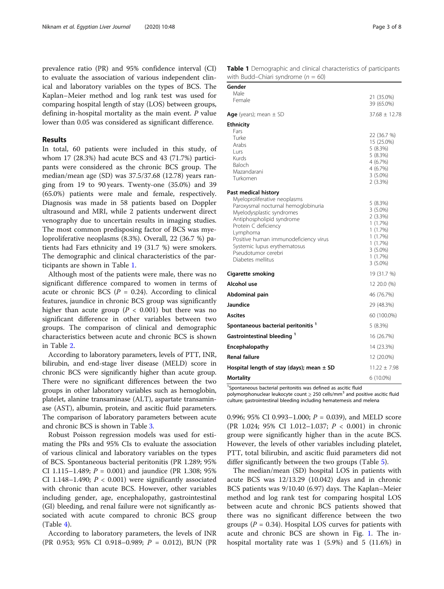<span id="page-2-0"></span>prevalence ratio (PR) and 95% confidence interval (CI) to evaluate the association of various independent clinical and laboratory variables on the types of BCS. The Kaplan–Meier method and log rank test was used for comparing hospital length of stay (LOS) between groups, defining in-hospital mortality as the main event. P value lower than 0.05 was considered as significant difference.

#### Results

In total, 60 patients were included in this study, of whom 17 (28.3%) had acute BCS and 43 (71.7%) participants were considered as the chronic BCS group. The median/mean age (SD) was 37.5/37.68 (12.78) years ranging from 19 to 90 years. Twenty-one (35.0%) and 39 (65.0%) patients were male and female, respectively. Diagnosis was made in 58 patients based on Doppler ultrasound and MRI, while 2 patients underwent direct venography due to uncertain results in imaging studies. The most common predisposing factor of BCS was myeloproliferative neoplasms (8.3%). Overall, 22 (36.7 %) patients had Fars ethnicity and 19 (31.7 %) were smokers. The demographic and clinical characteristics of the participants are shown in Table 1.

Although most of the patients were male, there was no significant difference compared to women in terms of acute or chronic BCS ( $P = 0.24$ ). According to clinical features, jaundice in chronic BCS group was significantly higher than acute group ( $P < 0.001$ ) but there was no significant difference in other variables between two groups. The comparison of clinical and demographic characteristics between acute and chronic BCS is shown in Table [2](#page-3-0).

According to laboratory parameters, levels of PTT, INR, bilirubin, and end-stage liver disease (MELD) score in chronic BCS were significantly higher than acute group. There were no significant differences between the two groups in other laboratory variables such as hemoglobin, platelet, alanine transaminase (ALT), aspartate transaminase (AST), albumin, protein, and ascitic fluid parameters. The comparison of laboratory parameters between acute and chronic BCS is shown in Table [3.](#page-4-0)

Robust Poisson regression models was used for estimating the PRs and 95% CIs to evaluate the association of various clinical and laboratory variables on the types of BCS. Spontaneous bacterial peritonitis (PR 1.289; 95% CI 1.115–1.489;  $P = 0.001$ ) and jaundice (PR 1.308; 95%) CI 1.148–1.490;  $P < 0.001$ ) were significantly associated with chronic than acute BCS. However, other variables including gender, age, encephalopathy, gastrointestinal (GI) bleeding, and renal failure were not significantly associated with acute compared to chronic BCS group  $(Table 4)$  $(Table 4)$ .

According to laboratory parameters, the levels of INR (PR 0.953; 95% CI 0.918–0.989; P = 0.012), BUN (PR

| Table 1 Demographic and clinical characteristics of participants |  |  |  |
|------------------------------------------------------------------|--|--|--|
| with Budd-Chiari syndrome ( $n = 60$ )                           |  |  |  |

| Gender                                            |                       |
|---------------------------------------------------|-----------------------|
| Male<br>Female                                    | 21 (35.0%)            |
|                                                   | 39 (65.0%)            |
| Age (years); mean $\pm$ SD                        | $37.68 + 12.78$       |
| <b>Ethnicity</b>                                  |                       |
| Fars                                              | 22 (36.7 %)           |
| Turke<br>Arabs                                    | 15 (25.0%)            |
| Lurs                                              | 5(8.3%)               |
| Kurds                                             | 5(8.3%)               |
| Baloch                                            | 4 (6.7%)              |
| Mazandarani                                       | 4(6.7%)<br>$3(5.0\%)$ |
| Turkomen                                          | 2(3.3%)               |
| Past medical history                              |                       |
| Myeloproliferative neoplasms                      | 5(8.3%)               |
| Paroxysmal nocturnal hemoglobinuria               | $3(5.0\%)$            |
| Myelodysplastic syndromes                         | $2(3.3\%)$            |
| Antiphospholipid syndrome                         | 1(1.7%)               |
| Protein C deficiency                              | 1(1.7%)               |
| Lymphoma<br>Positive human immunodeficiency virus | 1(1.7%)               |
| Systemic lupus erythematosus                      | 1(1.7%)               |
| Pseudotumor cerebri                               | $3(5.0\%)$            |
| Diabetes mellitus                                 | 1(1.7%)               |
|                                                   | $3(5.0\%)$            |
| <b>Cigarette smoking</b>                          | 19 (31.7 %)           |
| Alcohol use                                       | 12 20.0 (%)           |
| Abdominal pain                                    | 46 (76.7%)            |
| <b>Jaundice</b>                                   | 29 (48.3%)            |
| <b>Ascites</b>                                    | 60 (100.0%)           |
| Spontaneous bacterial peritonitis <sup>1</sup>    | 5(8.3%)               |
| Gastrointestinal bleeding 1                       | 16 (26.7%)            |
| Encephalopathy                                    | 14 (23.3%)            |
| <b>Renal failure</b>                              | 12 (20.0%)            |
| Hospital length of stay (days); mean $\pm$ SD     | $11.22 \pm 7.98$      |
| <b>Mortality</b>                                  | 6 (10.0%)             |

<sup>1</sup>Spontaneous bacterial peritonitis was defined as ascitic fluid

polymorphonuclear leukocyte count  $\geq$  250 cells/mm<sup>3</sup> and positive ascitic fluid culture; gastrointestinal bleeding including hematemesis and melena

0.996; 95% CI 0.993–1.000;  $P = 0.039$ ), and MELD score (PR 1.024; 95% CI 1.012–1.037; P < 0.001) in chronic group were significantly higher than in the acute BCS. However, the levels of other variables including platelet, PTT, total bilirubin, and ascitic fluid parameters did not differ significantly between the two groups (Table [5](#page-5-0)).

The median/mean (SD) hospital LOS in patients with acute BCS was 12/13.29 (10.042) days and in chronic BCS patients was 9/10.40 (6.97) days. The Kaplan–Meier method and log rank test for comparing hospital LOS between acute and chronic BCS patients showed that there was no significant difference between the two groups ( $P = 0.34$ ). Hospital LOS curves for patients with acute and chronic BCS are shown in Fig. [1](#page-6-0). The inhospital mortality rate was 1 (5.9%) and 5 (11.6%) in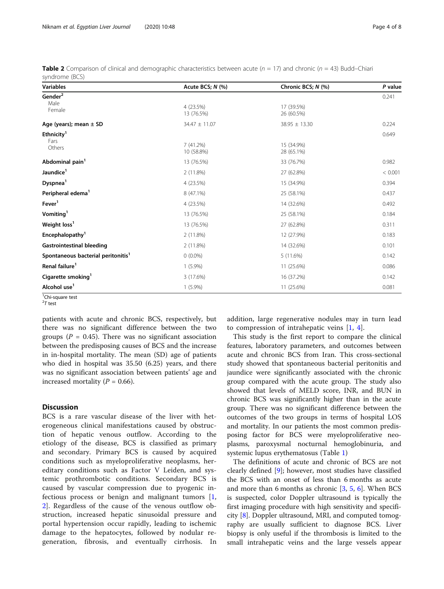| <b>Variables</b>                               | Acute BCS; N (%)        | Chronic BCS; N (%)       | P value |
|------------------------------------------------|-------------------------|--------------------------|---------|
| Gender <sup>2</sup>                            |                         |                          | 0.241   |
| Male<br>Female                                 | 4 (23.5%)<br>13 (76.5%) | 17 (39.5%)<br>26 (60.5%) |         |
| Age (years); mean $\pm$ SD                     | 34.47 ± 11.07           | $38.95 \pm 13.30$        | 0.224   |
| Ethnicity <sup>1</sup>                         |                         |                          | 0.649   |
| Fars<br>Others                                 | 7(41.2%)<br>10 (58.8%)  | 15 (34.9%)<br>28 (65.1%) |         |
| Abdominal pain <sup>1</sup>                    | 13 (76.5%)              | 33 (76.7%)               | 0.982   |
| Jaundice <sup>1</sup>                          | 2(11.8%)                | 27 (62.8%)               | < 0.001 |
| Dyspnea <sup>1</sup>                           | 4 (23.5%)               | 15 (34.9%)               | 0.394   |
| Peripheral edema <sup>1</sup>                  | 8 (47.1%)               | 25 (58.1%)               | 0.437   |
| Fever <sup>1</sup>                             | 4 (23.5%)               | 14 (32.6%)               | 0.492   |
| Vomiting <sup>1</sup>                          | 13 (76.5%)              | 25 (58.1%)               | 0.184   |
| Weight loss <sup>1</sup>                       | 13 (76.5%)              | 27 (62.8%)               | 0.311   |
| Encephalopathy <sup>1</sup>                    | 2(11.8%)                | 12 (27.9%)               | 0.183   |
| <b>Gastrointestinal bleeding</b>               | 2 (11.8%)               | 14 (32.6%)               | 0.101   |
| Spontaneous bacterial peritonitis <sup>1</sup> | $0(0.0\%)$              | 5 (11.6%)                | 0.142   |
| Renal failure <sup>1</sup>                     | $1(5.9\%)$              | 11 (25.6%)               | 0.086   |
| Cigarette smoking <sup>1</sup>                 | 3 (17.6%)               | 16 (37.2%)               | 0.142   |
| Alcohol use <sup>1</sup>                       | $1(5.9\%)$              | 11 (25.6%)               | 0.081   |

<span id="page-3-0"></span>**Table 2** Comparison of clinical and demographic characteristics between acute ( $n = 17$ ) and chronic ( $n = 43$ ) Budd–Chiari syndrome (BCS)

<sup>1</sup>Chi-square test

 $27$  test

patients with acute and chronic BCS, respectively, but there was no significant difference between the two groups ( $P = 0.45$ ). There was no significant association between the predisposing causes of BCS and the increase in in-hospital mortality. The mean (SD) age of patients who died in hospital was 35.50 (6.25) years, and there was no significant association between patients' age and increased mortality ( $P = 0.66$ ).

## **Discussion**

BCS is a rare vascular disease of the liver with heterogeneous clinical manifestations caused by obstruction of hepatic venous outflow. According to the etiology of the disease, BCS is classified as primary and secondary. Primary BCS is caused by acquired conditions such as myeloproliferative neoplasms, hereditary conditions such as Factor V Leiden, and systemic prothrombotic conditions. Secondary BCS is caused by vascular compression due to pyogenic infectious process or benign and malignant tumors  $[1,$  $[1,$ [2\]](#page-7-0). Regardless of the cause of the venous outflow obstruction, increased hepatic sinusoidal pressure and portal hypertension occur rapidly, leading to ischemic damage to the hepatocytes, followed by nodular regeneration, fibrosis, and eventually cirrhosis. In addition, large regenerative nodules may in turn lead to compression of intrahepatic veins  $[1, 4]$  $[1, 4]$  $[1, 4]$  $[1, 4]$ .

This study is the first report to compare the clinical features, laboratory parameters, and outcomes between acute and chronic BCS from Iran. This cross-sectional study showed that spontaneous bacterial peritonitis and jaundice were significantly associated with the chronic group compared with the acute group. The study also showed that levels of MELD score, INR, and BUN in chronic BCS was significantly higher than in the acute group. There was no significant difference between the outcomes of the two groups in terms of hospital LOS and mortality. In our patients the most common predisposing factor for BCS were myeloproliferative neoplasms, paroxysmal nocturnal hemoglobinuria, and systemic lupus erythematosus (Table [1\)](#page-2-0)

The definitions of acute and chronic of BCS are not clearly defined [\[9](#page-7-0)]; however, most studies have classified the BCS with an onset of less than 6 months as acute and more than 6 months as chronic [[3,](#page-7-0) [5](#page-7-0), [6](#page-7-0)]. When BCS is suspected, color Doppler ultrasound is typically the first imaging procedure with high sensitivity and specificity [\[8](#page-7-0)]. Doppler ultrasound, MRI, and computed tomography are usually sufficient to diagnose BCS. Liver biopsy is only useful if the thrombosis is limited to the small intrahepatic veins and the large vessels appear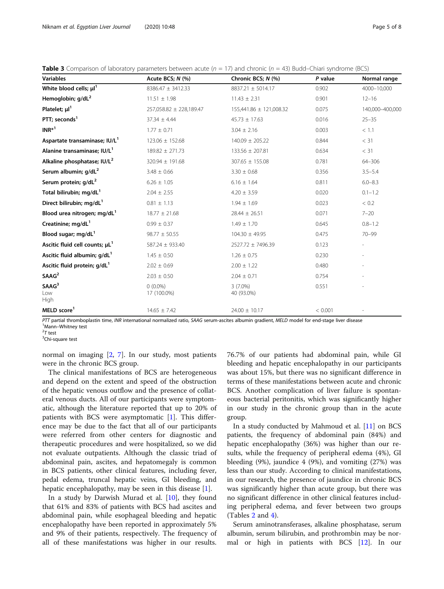<span id="page-4-0"></span>

|           | <b>Table 3</b> Comparison of laboratory parameters between acute ( $n = 17$ ) and chronic ( $n = 43$ ) Budd–Chiari syndrome (BCS) |                    |         |              |
|-----------|-----------------------------------------------------------------------------------------------------------------------------------|--------------------|---------|--------------|
| Variables | Acute BCS: N (%)                                                                                                                  | Chronic BCS: N (%) | P value | Normal range |

| Variables                                  | Acute $BCS$ ; $N$ $(\%)$ | Chronic BCS; $N$ (%)    | P value | Normal range    |
|--------------------------------------------|--------------------------|-------------------------|---------|-----------------|
| White blood cells; $\mu$ <sup>1</sup>      | $8386.47 \pm 3412.33$    | 8837.21 ± 5014.17       | 0.902   | 4000-10,000     |
| Hemoglobin; g/dL <sup>2</sup>              | $11.51 \pm 1.98$         | $11.43 \pm 2.31$        | 0.901   | $12 - 16$       |
| Platelet; $\mu$ <sup>1</sup>               | 257,058.82 ± 228,189.47  | 155,441.86 ± 121,008.32 | 0.075   | 140,000-400,000 |
| PTT; seconds <sup>1</sup>                  | $37.34 \pm 4.44$         | $45.73 \pm 17.63$       | 0.016   | $25 - 35$       |
| $INR*1$                                    | $1.77 \pm 0.71$          | $3.04 \pm 2.16$         | 0.003   | < 1.1           |
| Aspartate transaminase; IU/L <sup>1</sup>  | $123.06 \pm 152.68$      | $140.09 \pm 205.22$     | 0.844   | < 31            |
| Alanine transaminase; IU/L <sup>1</sup>    | $189.82 \pm 271.73$      | $133.56 \pm 207.81$     | 0.634   | < 31            |
| Alkaline phosphatase; IU/L <sup>2</sup>    | $320.94 \pm 191.68$      | $307.65 \pm 155.08$     | 0.781   | 64-306          |
| Serum albumin; g/dL <sup>2</sup>           | $3.48 \pm 0.66$          | $3.30 \pm 0.68$         | 0.356   | $3.5 - 5.4$     |
| Serum protein; g/dL <sup>2</sup>           | $6.26 \pm 1.05$          | $6.16 \pm 1.64$         | 0.811   | $6.0 - 8.3$     |
| Total bilirubin; mg/dL <sup>1</sup>        | $2.04 \pm 2.55$          | $4.20 \pm 3.59$         | 0.020   | $0.1 - 1.2$     |
| Direct bilirubin; mg/dL <sup>1</sup>       | $0.81 \pm 1.13$          | $1.94 \pm 1.69$         | 0.023   | < 0.2           |
| Blood urea nitrogen; mg/dL <sup>1</sup>    | $18.77 \pm 21.68$        | $28.44 \pm 26.51$       | 0.071   | $7 - 20$        |
| Creatinine; mg/dL <sup>1</sup>             | $0.99 \pm 0.37$          | $1.49 \pm 1.70$         | 0.645   | $0.8 - 1.2$     |
| Blood sugar; mg/dL <sup>1</sup>            | $98.77 \pm 50.55$        | $104.30 \pm 49.95$      | 0.475   | $70 - 99$       |
| Ascitic fluid cell counts; µL <sup>1</sup> | 587.24 ± 933.40          | 2527.72 ± 7496.39       | 0.123   |                 |
| Ascitic fluid albumin; g/dL <sup>1</sup>   | $1.45 \pm 0.50$          | $1.26 \pm 0.75$         | 0.230   |                 |
| Ascitic fluid protein; g/dL <sup>1</sup>   | $2.02 \pm 0.69$          | $2.00 \pm 1.22$         | 0.480   |                 |
| SAAG <sup>2</sup>                          | $2.03 \pm 0.50$          | $2.04 \pm 0.71$         | 0.754   |                 |
| SAAG <sup>3</sup>                          | $0(0.0\%)$               | $3(7.0\%)$              | 0.551   |                 |
| Low<br><b>High</b>                         | 17 (100.0%)              | 40 (93.0%)              |         |                 |
| MELD score <sup>1</sup>                    | $14.65 \pm 7.42$         | $24.00 \pm 10.17$       | < 0.001 |                 |
|                                            |                          |                         |         |                 |

PTT partial thromboplastin time, INR international normalized ratio, SAAG serum-ascites albumin gradient, MELD model for end-stage liver disease <sup>1</sup>Mann–Whitney test

 $27$  test

<sup>3</sup>Chi-square test

normal on imaging [\[2](#page-7-0), [7\]](#page-7-0). In our study, most patients were in the chronic BCS group.

The clinical manifestations of BCS are heterogeneous and depend on the extent and speed of the obstruction of the hepatic venous outflow and the presence of collateral venous ducts. All of our participants were symptomatic, although the literature reported that up to 20% of patients with BCS were asymptomatic [\[1](#page-7-0)]. This difference may be due to the fact that all of our participants were referred from other centers for diagnostic and therapeutic procedures and were hospitalized, so we did not evaluate outpatients. Although the classic triad of abdominal pain, ascites, and hepatomegaly is common in BCS patients, other clinical features, including fever, pedal edema, truncal hepatic veins, GI bleeding, and hepatic encephalopathy, may be seen in this disease  $[1]$  $[1]$  $[1]$ .

In a study by Darwish Murad et al.  $[10]$  $[10]$ , they found that 61% and 83% of patients with BCS had ascites and abdominal pain, while esophageal bleeding and hepatic encephalopathy have been reported in approximately 5% and 9% of their patients, respectively. The frequency of all of these manifestations was higher in our results. 76.7% of our patients had abdominal pain, while GI bleeding and hepatic encephalopathy in our participants was about 15%, but there was no significant difference in terms of these manifestations between acute and chronic BCS. Another complication of liver failure is spontaneous bacterial peritonitis, which was significantly higher in our study in the chronic group than in the acute group.

In a study conducted by Mahmoud et al. [[11](#page-7-0)] on BCS patients, the frequency of abdominal pain (84%) and hepatic encephalopathy (36%) was higher than our results, while the frequency of peripheral edema (4%), GI bleeding (9%), jaundice 4 (9%), and vomiting (27%) was less than our study. According to clinical manifestations, in our research, the presence of jaundice in chronic BCS was significantly higher than acute group, but there was no significant difference in other clinical features including peripheral edema, and fever between two groups (Tables [2](#page-3-0) and [4](#page-5-0)).

Serum aminotransferases, alkaline phosphatase, serum albumin, serum bilirubin, and prothrombin may be normal or high in patients with BCS [[12\]](#page-7-0). In our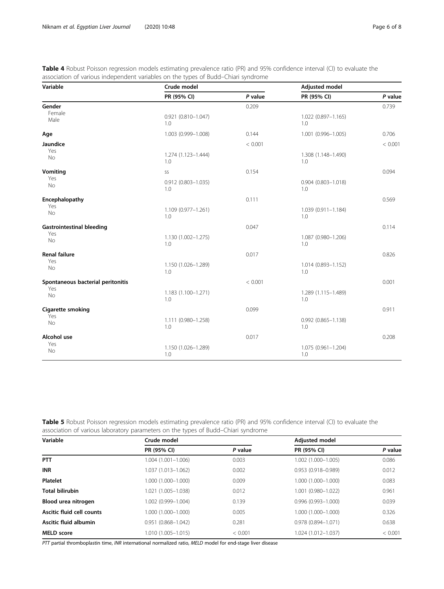<span id="page-5-0"></span>

| <b>Table 4</b> Robust Poisson regression models estimating prevalence ratio (PR) and 95% confidence interval (CI) to evaluate the |  |
|-----------------------------------------------------------------------------------------------------------------------------------|--|
| association of various independent variables on the types of Budd–Chiari syndrome                                                 |  |

| Variable                          | Crude model                   |         | <b>Adjusted model</b>            |         |
|-----------------------------------|-------------------------------|---------|----------------------------------|---------|
|                                   | PR (95% CI)                   | P value | PR (95% CI)                      | P value |
| Gender                            |                               | 0.209   |                                  | 0.739   |
| Female<br>Male                    | 0.921 (0.810-1.047)<br>1.0    |         | 1.022 (0.897-1.165)<br>1.0       |         |
| Age                               | 1.003 (0.999-1.008)           | 0.144   | 1.001 (0.996-1.005)              | 0.706   |
| Jaundice                          |                               | < 0.001 |                                  | < 0.001 |
| Yes<br><b>No</b>                  | 1.274 (1.123-1.444)<br>1.0    |         | 1.308 (1.148-1.490)<br>1.0       |         |
| Vomiting                          | SS                            | 0.154   |                                  | 0.094   |
| Yes<br>No                         | $0.912(0.803 - 1.035)$<br>1.0 |         | $0.904$ $(0.803 - 1.018)$<br>1.0 |         |
| Encephalopathy                    |                               | 0.111   |                                  | 0.569   |
| Yes<br><b>No</b>                  | 1.109 (0.977-1.261)<br>1.0    |         | 1.039 (0.911-1.184)<br>1.0       |         |
| <b>Gastrointestinal bleeding</b>  |                               | 0.047   |                                  | 0.114   |
| Yes<br><b>No</b>                  | 1.130 (1.002-1.275)<br>1.0    |         | 1.087 (0.980-1.206)<br>1.0       |         |
| <b>Renal failure</b>              |                               | 0.017   |                                  | 0.826   |
| Yes<br><b>No</b>                  | 1.150 (1.026-1.289)<br>1.0    |         | 1.014 (0.893-1.152)<br>1.0       |         |
| Spontaneous bacterial peritonitis |                               | < 0.001 |                                  | 0.001   |
| Yes<br><b>No</b>                  | 1.183 (1.100-1.271)<br>1.0    |         | 1.289 (1.115-1.489)<br>1.0       |         |
| Cigarette smoking                 |                               | 0.099   |                                  | 0.911   |
| Yes<br>No                         | 1.111 (0.980-1.258)<br>1.0    |         | 0.992 (0.865-1.138)<br>1.0       |         |
| Alcohol use                       |                               | 0.017   |                                  | 0.208   |
| Yes<br>No                         | 1.150 (1.026-1.289)<br>1.0    |         | 1.075 (0.961-1.204)<br>1.0       |         |

| Table 5 Robust Poisson regression models estimating prevalence ratio (PR) and 95% confidence interval (CI) to evaluate the |  |
|----------------------------------------------------------------------------------------------------------------------------|--|
| association of various laboratory parameters on the types of Budd–Chiari syndrome                                          |  |

| Variable                  | Crude model            |         | <b>Adjusted model</b>  |         |
|---------------------------|------------------------|---------|------------------------|---------|
|                           | PR (95% CI)            | P value | PR (95% CI)            | P value |
| <b>PTT</b>                | 1.004 (1.001-1.006)    | 0.003   | 1.002 (1.000-1.005)    | 0.086   |
| <b>INR</b>                | 1.037 (1.013-1.062)    | 0.002   | $0.953(0.918 - 0.989)$ | 0.012   |
| <b>Platelet</b>           | 1.000 (1.000-1.000)    | 0.009   | 1.000 (1.000-1.000)    | 0.083   |
| <b>Total bilirubin</b>    | 1.021 (1.005-1.038)    | 0.012   | 1.001 (0.980-1.022)    | 0.961   |
| Blood urea nitrogen       | 1.002 (0.999-1.004)    | 0.139   | $0.996(0.993 - 1.000)$ | 0.039   |
| Ascitic fluid cell counts | $1.000(1.000 - 1.000)$ | 0.005   | 1.000 (1.000-1.000)    | 0.326   |
| Ascitic fluid albumin     | $0.951(0.868 - 1.042)$ | 0.281   | $0.978(0.894 - 1.071)$ | 0.638   |
| <b>MELD</b> score         | 1.010 (1.005-1.015)    | < 0.001 | 1.024 (1.012-1.037)    | < 0.001 |

PTT partial thromboplastin time, INR international normalized ratio, MELD model for end-stage liver disease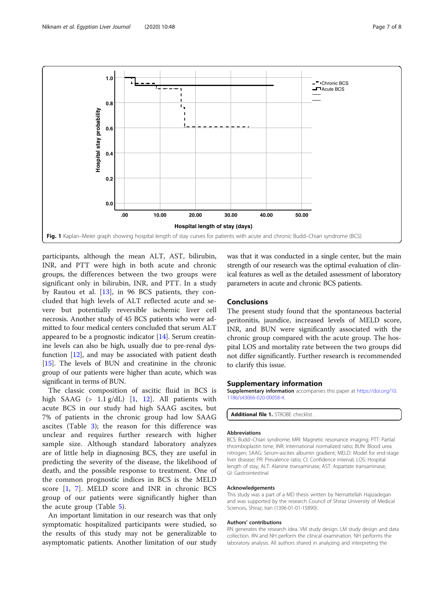<span id="page-6-0"></span>

participants, although the mean ALT, AST, bilirubin, INR, and PTT were high in both acute and chronic groups, the differences between the two groups were significant only in bilirubin, INR, and PTT. In a study by Rautou et al. [[13](#page-7-0)], in 96 BCS patients, they concluded that high levels of ALT reflected acute and severe but potentially reversible ischemic liver cell necrosis. Another study of 45 BCS patients who were admitted to four medical centers concluded that serum ALT appeared to be a prognostic indicator [[14\]](#page-7-0). Serum creatinine levels can also be high, usually due to pre-renal dysfunction [[12](#page-7-0)], and may be associated with patient death [[15](#page-7-0)]. The levels of BUN and creatinine in the chronic group of our patients were higher than acute, which was significant in terms of BUN.

The classic composition of ascitic fluid in BCS is high SAAG  $(> 1.1 g/dL)$  [\[1](#page-7-0), [12](#page-7-0)]. All patients with acute BCS in our study had high SAAG ascites, but 7% of patients in the chronic group had low SAAG ascites (Table [3\)](#page-4-0); the reason for this difference was unclear and requires further research with higher sample size. Although standard laboratory analyzes are of little help in diagnosing BCS, they are useful in predicting the severity of the disease, the likelihood of death, and the possible response to treatment. One of the common prognostic indices in BCS is the MELD score [[1,](#page-7-0) [7\]](#page-7-0). MELD score and INR in chronic BCS group of our patients were significantly higher than the acute group (Table [5\)](#page-5-0).

An important limitation in our research was that only symptomatic hospitalized participants were studied, so the results of this study may not be generalizable to asymptomatic patients. Another limitation of our study was that it was conducted in a single center, but the main strength of our research was the optimal evaluation of clinical features as well as the detailed assessment of laboratory parameters in acute and chronic BCS patients.

#### **Conclusions**

The present study found that the spontaneous bacterial peritonitis, jaundice, increased levels of MELD score, INR, and BUN were significantly associated with the chronic group compared with the acute group. The hospital LOS and mortality rate between the two groups did not differ significantly. Further research is recommended to clarify this issue.

#### Supplementary information

Supplementary information accompanies this paper at [https://doi.org/10.](https://doi.org/10.1186/s43066-020-00058-4) [1186/s43066-020-00058-4](https://doi.org/10.1186/s43066-020-00058-4).

Additional file 1. STROBE checklist

#### Abbreviations

BCS: Budd–Chiari syndrome; MRI: Magnetic resonance imaging; PTT: Partial thromboplastin time; INR: International normalized ratio; BUN: Blood urea nitrogen; SAAG: Serum-ascites albumin gradient; MELD: Model for end-stage liver disease; PR: Prevalence ratio; CI: Confidence interval; LOS: Hospital length of stay; ALT: Alanine transaminase; AST: Aspartate transaminase; GI: Gastrointestinal

#### Acknowledgements

This study was a part of a MD thesis written by Nemattellah Hajizadegan and was supported by the research Council of Shiraz University of Medical Sciences, Shiraz, Iran (1396-01-01-15890).

#### Authors' contributions

RN generates the research idea. VM study design. LM study design and data collection. RN and NH perform the clinical examination. NH performs the laboratory analysis. All authors shared in analyzing and interpreting the